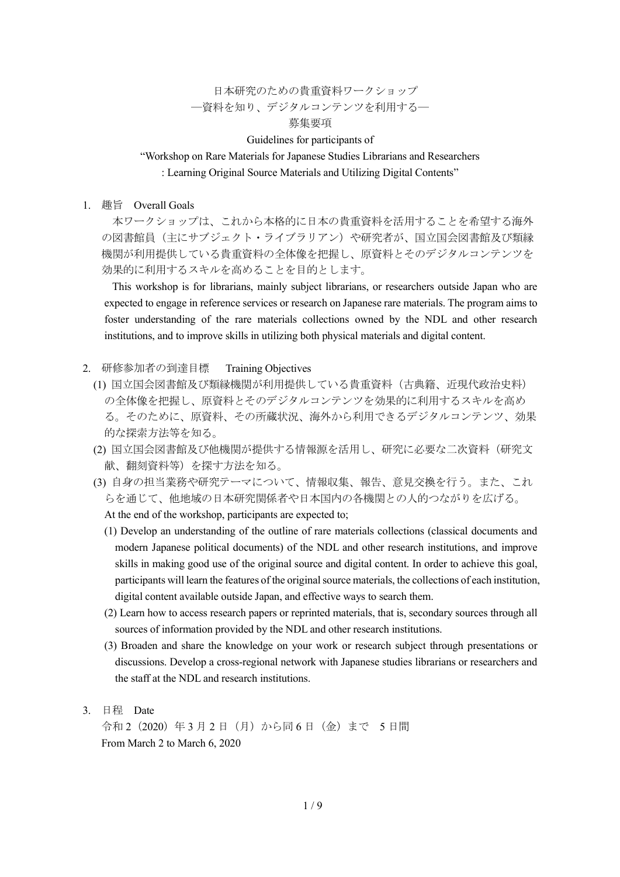# 日本研究のための貴重資料ワークショップ ―資料を知り、デジタルコンテンツを利用する―

### 募集要項

#### Guidelines for participants of

#### "Workshop on Rare Materials for Japanese Studies Librarians and Researchers

: Learning Original Source Materials and Utilizing Digital Contents"

1. 趣旨 Overall Goals

本ワークショップは、これから本格的に日本の貴重資料を活用することを希望する海外 の図書館員(主にサブジェクト・ライブラリアン)や研究者が、国立国会図書館及び類縁 機関が利用提供している貴重資料の全体像を把握し、原資料とそのデジタルコンテンツを 効果的に利用するスキルを高めることを目的とします。

This workshop is for librarians, mainly subject librarians, or researchers outside Japan who are expected to engage in reference services or research on Japanese rare materials. The program aims to foster understanding of the rare materials collections owned by the NDL and other research institutions, and to improve skills in utilizing both physical materials and digital content.

- 2. 研修参加者の到達目標 Training Objectives
	- (1) 国立国会図書館及び類縁機関が利用提供している貴重資料(古典籍、近現代政治史料) の全体像を把握し、原資料とそのデジタルコンテンツを効果的に利用するスキルを高め る。そのために、原資料、その所蔵状況、海外から利用できるデジタルコンテンツ、効果 的な探索方法等を知る。
	- (2) 国立国会図書館及び他機関が提供する情報源を活用し、研究に必要な二次資料(研究文 献、翻刻資料等)を探す方法を知る。
	- (3) 自身の担当業務や研究テーマについて、情報収集、報告、意見交換を行う。また、これ らを通じて、他地域の日本研究関係者や日本国内の各機関との人的つながりを広げる。 At the end of the workshop, participants are expected to;
		- (1) Develop an understanding of the outline of rare materials collections (classical documents and modern Japanese political documents) of the NDL and other research institutions, and improve skills in making good use of the original source and digital content. In order to achieve this goal, participants will learn the features of the original source materials, the collections of each institution, digital content available outside Japan, and effective ways to search them.
		- (2) Learn how to access research papers or reprinted materials, that is, secondary sources through all sources of information provided by the NDL and other research institutions.
		- (3) Broaden and share the knowledge on your work or research subject through presentations or discussions. Develop a cross-regional network with Japanese studies librarians or researchers and the staff at the NDL and research institutions.
- 3. 日程 Date

令和 2(2020)年 3 月 2 日(月)から同 6 日(金)まで 5 日間 From March 2 to March 6, 2020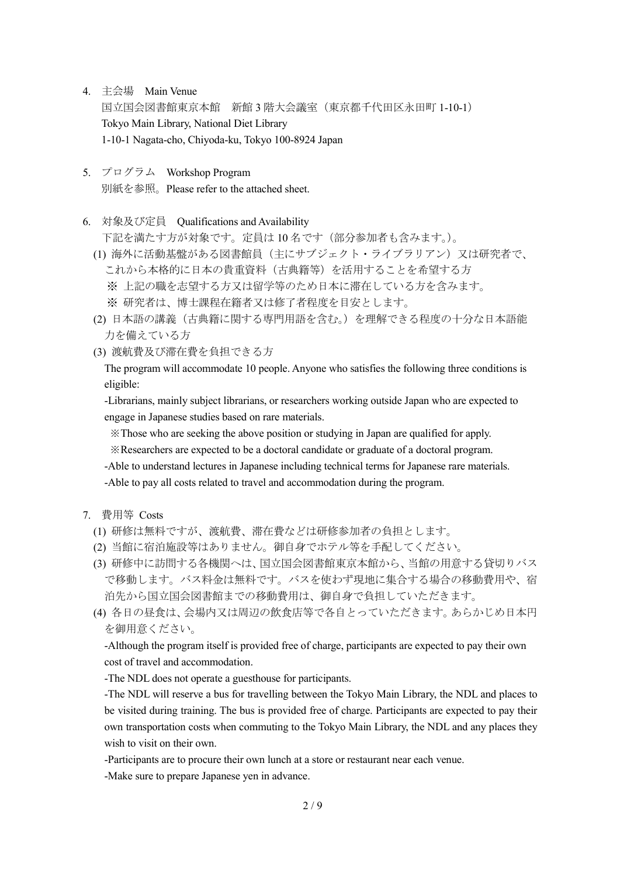- 4. 主会場 Main Venue 国立国会図書館東京本館 新館 3 階大会議室(東京都千代田区永田町 1-10-1) Tokyo Main Library, National Diet Library 1-10-1 Nagata-cho, Chiyoda-ku, Tokyo 100-8924 Japan
- 5. プログラム Workshop Program 別紙を参照。Please refer to the attached sheet.
- 6. 対象及び定員 Qualifications and Availability

下記を満たす方が対象です。定員は 10 名です(部分参加者も含みます。)。

- (1) 海外に活動基盤がある図書館員(主にサブジェクト・ライブラリアン)又は研究者で、 これから本格的に日本の貴重資料(古典籍等)を活用することを希望する方 ※ 上記の職を志望する方又は留学等のため日本に滞在している方を含みます。 ※ 研究者は、博士課程在籍者又は修了者程度を目安とします。
- (2) 日本語の講義(古典籍に関する専門用語を含む。)を理解できる程度の十分な日本語能 力を備えている方
- (3) 渡航費及び滞在費を負担できる方

The program will accommodate 10 people. Anyone who satisfies the following three conditions is eligible:

-Librarians, mainly subject librarians, or researchers working outside Japan who are expected to engage in Japanese studies based on rare materials.

※Those who are seeking the above position or studying in Japan are qualified for apply.

- ※Researchers are expected to be a doctoral candidate or graduate of a doctoral program.
- -Able to understand lectures in Japanese including technical terms for Japanese rare materials.

-Able to pay all costs related to travel and accommodation during the program.

- 7. 費用等 Costs
	- (1) 研修は無料ですが、渡航費、滞在費などは研修参加者の負担とします。
	- (2) 当館に宿泊施設等はありません。御自身でホテル等を手配してください。
	- (3) 研修中に訪問する各機関へは、国立国会図書館東京本館から、当館の用意する貸切りバス で移動します。バス料金は無料です。バスを使わず現地に集合する場合の移動費用や、宿 泊先から国立国会図書館までの移動費用は、御自身で負担していただきます。
	- (4) 各日の昼食は、会場内又は周辺の飲食店等で各自とっていただきます。あらかじめ日本円 を御用意ください。

-Although the program itself is provided free of charge, participants are expected to pay their own cost of travel and accommodation.

-The NDL does not operate a guesthouse for participants.

-The NDL will reserve a bus for travelling between the Tokyo Main Library, the NDL and places to be visited during training. The bus is provided free of charge. Participants are expected to pay their own transportation costs when commuting to the Tokyo Main Library, the NDL and any places they wish to visit on their own.

-Participants are to procure their own lunch at a store or restaurant near each venue.

-Make sure to prepare Japanese yen in advance.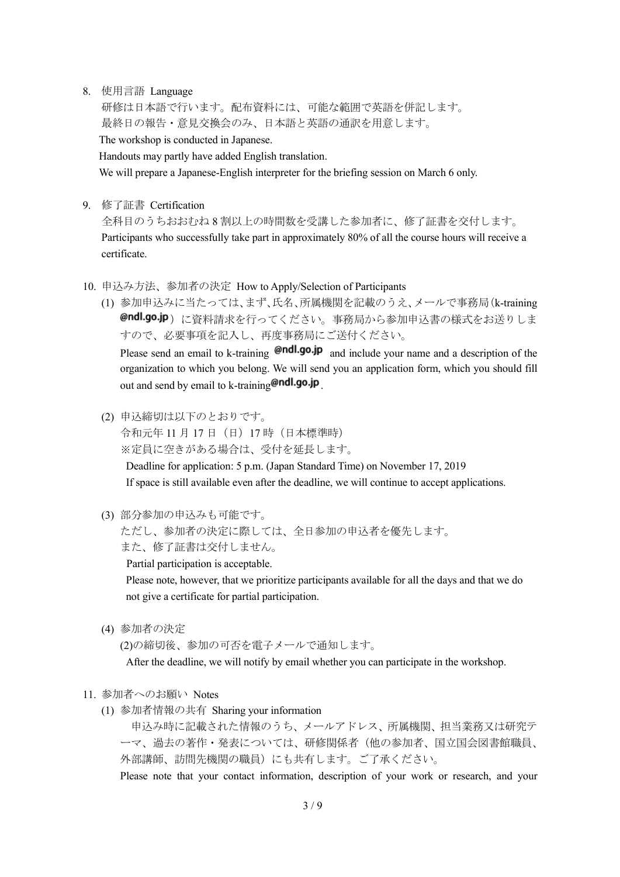8. 使用言語 Language

研修は日本語で行います。配布資料には、可能な範囲で英語を併記します。 最終日の報告・意見交換会のみ、日本語と英語の通訳を用意します。

The workshop is conducted in Japanese.

Handouts may partly have added English translation.

We will prepare a Japanese-English interpreter for the briefing session on March 6 only.

9. 修了証書 Certification

全科目のうちおおむね 8 割以上の時間数を受講した参加者に、修了証書を交付します。 Participants who successfully take part in approximately 80% of all the course hours will receive a certificate.

- 10. 申込み方法、参加者の決定 How to Apply/Selection of Participants
	- (1) 参加申込みに当たっては、まず、氏名、所属機関を記載のうえ、メールで事務局(k-training @ndl.go.jp)に資料請求を行ってください。事務局から参加申込書の様式をお送りしま すので、必要事項を記入し、再度事務局にご送付ください。 Please send an email to k-training  $\Theta$ ndl.go.jp and include your name and a description of the organization to which you belong. We will send you an application form, which you should fill out and send by email to k-training  $\theta$ ndl.go.jp
	- (2) 申込締切は以下のとおりです。

令和元年 11 月 17 日(日)17 時(日本標準時)

※定員に空きがある場合は、受付を延長します。

Deadline for application: 5 p.m. (Japan Standard Time) on November 17, 2019 If space is still available even after the deadline, we will continue to accept applications.

(3) 部分参加の申込みも可能です。

ただし、参加者の決定に際しては、全日参加の申込者を優先します。 また、修了証書は交付しません。

Partial participation is acceptable.

Please note, however, that we prioritize participants available for all the days and that we do not give a certificate for partial participation.

(4) 参加者の決定

(2)の締切後、参加の可否を電子メールで通知します。

After the deadline, we will notify by email whether you can participate in the workshop.

- 11. 参加者へのお願い Notes
	- (1) 参加者情報の共有 Sharing your information

申込み時に記載された情報のうち、メールアドレス、所属機関、担当業務又は研究テ ーマ、過去の著作・発表については、研修関係者(他の参加者、国立国会図書館職員、 外部講師、訪問先機関の職員)にも共有します。ご了承ください。

Please note that your contact information, description of your work or research, and your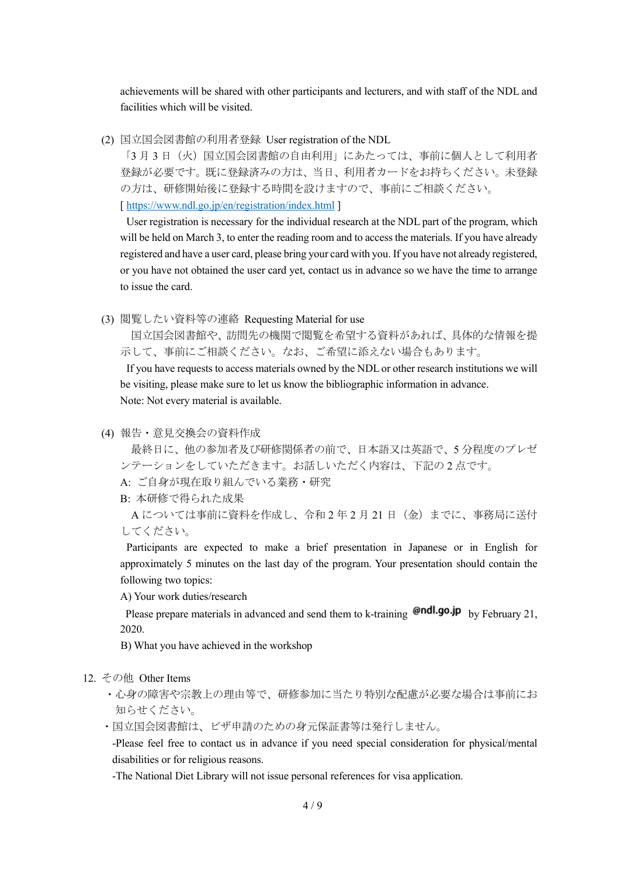achievements will be shared with other participants and lecturers, and with staff of the NDL and facilities which will be visited.

(2) 国立国会図書館の利用者登録 User registration of the NDL

「3月3日(火)国立国会図書館の自由利用」にあたっては、事前に個人として利用者 登録が必要です。既に登録済みの方は、当日、利用者カードをお持ちください。未登録 の方は、研修開始後に登録する時間を設けますので、事前にご相談ください。 [<https://www.ndl.go.jp/en/registration/index.html> ]

User registration is necessary for the individual research at the NDL part of the program, which will be held on March 3, to enter the reading room and to access the materials. If you have already registered and have a user card, please bring your card with you. If you have not already registered, or you have not obtained the user card yet, contact us in advance so we have the time to arrange to issue the card.

(3) 閲覧したい資料等の連絡 Requesting Material for use

国立国会図書館や、訪問先の機関で閲覧を希望する資料があれば、具体的な情報を提 示して、事前にご相談ください。なお、ご希望に添えない場合もあります。

If you have requests to access materials owned by the NDL or other research institutions we will be visiting, please make sure to let us know the bibliographic information in advance. Note: Not every material is available.

(4) 報告・意見交換会の資料作成

最終日に、他の参加者及び研修関係者の前で、日本語又は英語で、5 分程度のプレゼ ンテーションをしていただきます。お話しいただく内容は、下記の 2 点です。

A: ご自身が現在取り組んでいる業務・研究

B: 本研修で得られた成果

A については事前に資料を作成し、令和 2 年 2 月 21 日(金)までに、事務局に送付 してください。

Participants are expected to make a brief presentation in Japanese or in English for approximately 5 minutes on the last day of the program. Your presentation should contain the following two topics:

A) Your work duties/research

Please prepare materials in advanced and send them to k-training  $\Theta$ ndl.go.jp by February 21, 2020.

B) What you have achieved in the workshop

- 12. その他 Other Items
	- ・心身の障害や宗教上の理由等で、研修参加に当たり特別な配慮が必要な場合は事前にお 知らせください。
	- ・国立国会図書館は、ビザ申請のための身元保証書等は発行しません。

-Please feel free to contact us in advance if you need special consideration for physical/mental disabilities or for religious reasons.

-The National Diet Library will not issue personal references for visa application.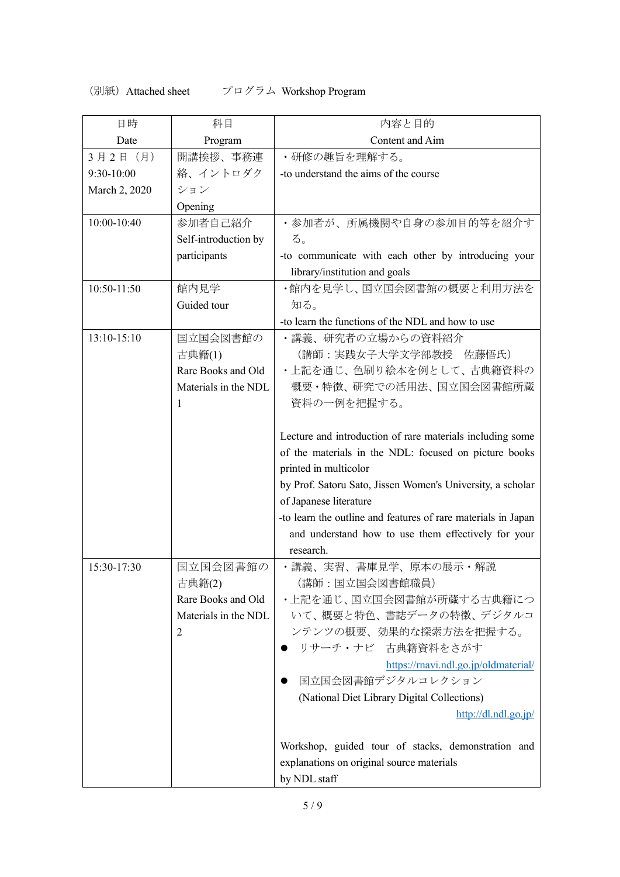## (別紙)Attached sheet プログラム Workshop Program

| 日時            | 科目                   | 内容と目的                                                         |
|---------------|----------------------|---------------------------------------------------------------|
| Date          | Program              | Content and Aim                                               |
| 3月2日 (月)      | 開講挨拶、事務連             | ・研修の趣旨を理解する。                                                  |
| 9:30-10:00    | 絡、イントロダク             | -to understand the aims of the course                         |
| March 2, 2020 | ション                  |                                                               |
|               | Opening              |                                                               |
| 10:00-10:40   | 参加者自己紹介              | ・参加者が、所属機関や自身の参加目的等を紹介す                                       |
|               | Self-introduction by | る。                                                            |
|               | participants         | -to communicate with each other by introducing your           |
|               |                      | library/institution and goals                                 |
| 10:50-11:50   | 館内見学                 | ・館内を見学し、国立国会図書館の概要と利用方法を                                      |
|               | Guided tour          | 知る。                                                           |
|               |                      | -to learn the functions of the NDL and how to use             |
| 13:10-15:10   | 国立国会図書館の             | ・講義、研究者の立場からの資料紹介                                             |
|               | 古典籍(1)               | (講師:実践女子大学文学部教授 佐藤悟氏)                                         |
|               | Rare Books and Old   | ・上記を通じ、色刷り絵本を例として、古典籍資料の                                      |
|               | Materials in the NDL | 概要・特徴、研究での活用法、国立国会図書館所蔵                                       |
|               | 1                    | 資料の一例を把握する。                                                   |
|               |                      |                                                               |
|               |                      | Lecture and introduction of rare materials including some     |
|               |                      | of the materials in the NDL: focused on picture books         |
|               |                      | printed in multicolor                                         |
|               |                      | by Prof. Satoru Sato, Jissen Women's University, a scholar    |
|               |                      | of Japanese literature                                        |
|               |                      | -to learn the outline and features of rare materials in Japan |
|               |                      | and understand how to use them effectively for your           |
|               |                      | research.                                                     |
| 15:30-17:30   | 国立国会図書館の             | ・講義、実習、書庫見学、原本の展示・解説                                          |
|               | 古典籍(2)               | (講師:国立国会図書館職員)                                                |
|               | Rare Books and Old   | ・上記を通じ、国立国会図書館が所蔵する古典籍につ                                      |
|               | Materials in the NDL | いて、概要と特色、書誌データの特徴、デジタルコ                                       |
|               | 2                    | ンテンツの概要、効果的な探索方法を把握する。                                        |
|               |                      | リサーチ・ナビ 古典籍資料をさがす                                             |
|               |                      | https://rnavi.ndl.go.jp/oldmaterial/                          |
|               |                      | 国立国会図書館デジタルコレクション                                             |
|               |                      | (National Diet Library Digital Collections)                   |
|               |                      | http://dl.ndl.go.jp/                                          |
|               |                      |                                                               |
|               |                      | Workshop, guided tour of stacks, demonstration and            |
|               |                      | explanations on original source materials                     |
|               |                      | by NDL staff                                                  |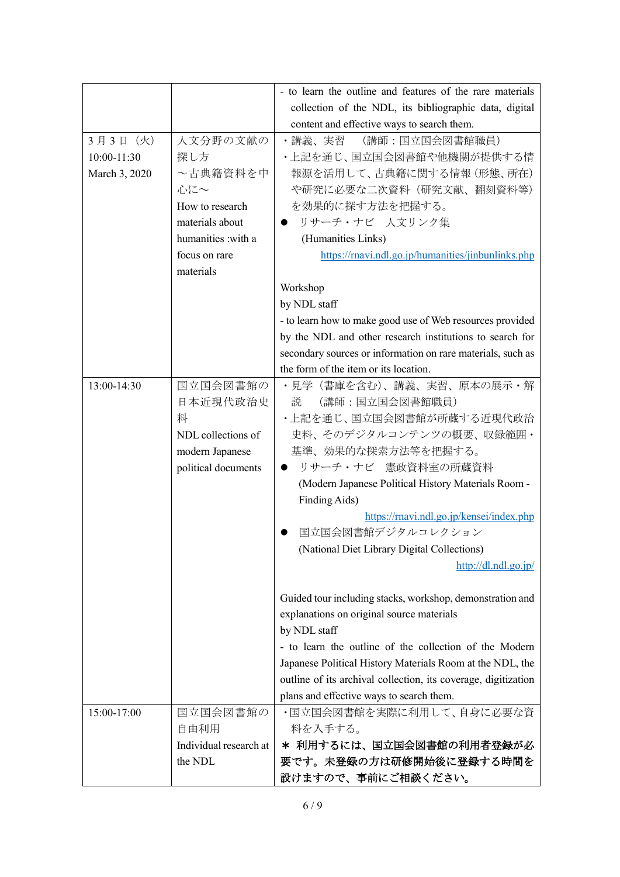|               |                        | - to learn the outline and features of the rare materials      |
|---------------|------------------------|----------------------------------------------------------------|
|               |                        | collection of the NDL, its bibliographic data, digital         |
|               |                        | content and effective ways to search them.                     |
| 3月3日 (火)      | 人文分野の文献の               | ・講義、実習<br>(講師:国立国会図書館職員)                                       |
| 10:00-11:30   | 探し方                    | •上記を通じ、国立国会図書館や他機関が提供する情                                       |
| March 3, 2020 | ~古典籍資料を中               | 報源を活用して、古典籍に関する情報(形態、所在)                                       |
|               | 心に~                    | や研究に必要な二次資料(研究文献、翻刻資料等)                                        |
|               | How to research        | を効果的に探す方法を把握する。                                                |
|               | materials about        | リサーチ・ナビ 人文リンク集                                                 |
|               | humanities :with a     | (Humanities Links)                                             |
|               | focus on rare          | https://rnavi.ndl.go.jp/humanities/jinbunlinks.php             |
|               | materials              |                                                                |
|               |                        | Workshop                                                       |
|               |                        | by NDL staff                                                   |
|               |                        | - to learn how to make good use of Web resources provided      |
|               |                        | by the NDL and other research institutions to search for       |
|               |                        | secondary sources or information on rare materials, such as    |
|               |                        | the form of the item or its location.                          |
| 13:00-14:30   | 国立国会図書館の               | •見学(書庫を含む)、講義、実習、原本の展示・解                                       |
|               | 日本近現代政治史               | (講師:国立国会図書館職員)<br>説                                            |
|               | 料                      | ・上記を通じ、国立国会図書館が所蔵する近現代政治                                       |
|               | NDL collections of     | 史料、そのデジタルコンテンツの概要、収録範囲・                                        |
|               | modern Japanese        | 基準、効果的な探索方法等を把握する。                                             |
|               | political documents    | リサーチ・ナビ 憲政資料室の所蔵資料                                             |
|               |                        | (Modern Japanese Political History Materials Room -            |
|               |                        | Finding Aids)                                                  |
|               |                        | https://rnavi.ndl.go.jp/kensei/index.php                       |
|               |                        | 国立国会図書館デジタルコレクション                                              |
|               |                        | (National Diet Library Digital Collections)                    |
|               |                        | http://dl.ndl.go.jp/                                           |
|               |                        |                                                                |
|               |                        | Guided tour including stacks, workshop, demonstration and      |
|               |                        | explanations on original source materials                      |
|               |                        | by NDL staff                                                   |
|               |                        | - to learn the outline of the collection of the Modern         |
|               |                        | Japanese Political History Materials Room at the NDL, the      |
|               |                        | outline of its archival collection, its coverage, digitization |
|               |                        | plans and effective ways to search them.                       |
| 15:00-17:00   | 国立国会図書館の               | ・国立国会図書館を実際に利用して、自身に必要な資                                       |
|               | 自由利用                   | 料を入手する。                                                        |
|               | Individual research at | * 利用するには、国立国会図書館の利用者登録が必                                       |
|               |                        |                                                                |
|               | the NDL                | 要です。未登録の方は研修開始後に登録する時間を                                        |
|               |                        | 設けますので、事前にご相談ください。                                             |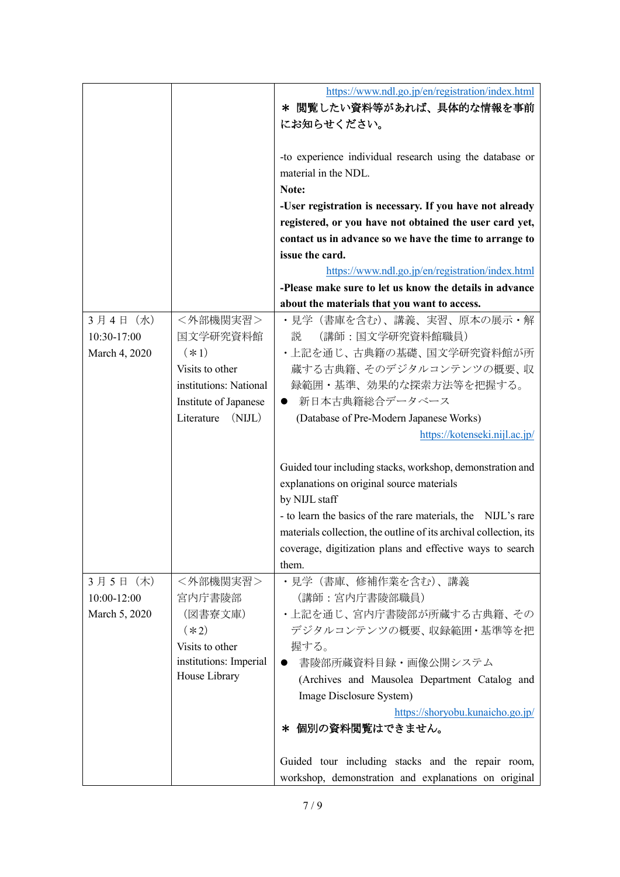|               |                        | https://www.ndl.go.jp/en/registration/index.html                  |
|---------------|------------------------|-------------------------------------------------------------------|
|               |                        | * 閲覧したい資料等があれば、具体的な情報を事前                                          |
|               |                        | にお知らせください。                                                        |
|               |                        |                                                                   |
|               |                        | -to experience individual research using the database or          |
|               |                        | material in the NDL.                                              |
|               |                        | Note:                                                             |
|               |                        | -User registration is necessary. If you have not already          |
|               |                        | registered, or you have not obtained the user card yet,           |
|               |                        | contact us in advance so we have the time to arrange to           |
|               |                        | issue the card.                                                   |
|               |                        | https://www.ndl.go.jp/en/registration/index.html                  |
|               |                        | -Please make sure to let us know the details in advance           |
|               |                        | about the materials that you want to access.                      |
| 3月4日 (水)      | <外部機関実習>               | ・見学 (書庫を含む)、講義、実習、原本の展示・解                                         |
| 10:30-17:00   | 国文学研究資料館               | (講師:国文学研究資料館職員)<br>説                                              |
| March 4, 2020 | $(*1)$                 | • 上記を通じ、古典籍の基礎、国文学研究資料館が所                                         |
|               | Visits to other        | 蔵する古典籍、そのデジタルコンテンツの概要、収                                           |
|               | institutions: National | 録範囲・基準、効果的な探索方法等を把握する。                                            |
|               | Institute of Japanese  | 新日本古典籍総合データベース<br>$\bullet$                                       |
|               | (NIJL)<br>Literature   | (Database of Pre-Modern Japanese Works)                           |
|               |                        | https://kotenseki.nijl.ac.jp/                                     |
|               |                        |                                                                   |
|               |                        | Guided tour including stacks, workshop, demonstration and         |
|               |                        | explanations on original source materials                         |
|               |                        | by NIJL staff                                                     |
|               |                        | - to learn the basics of the rare materials, the NIJL's rare      |
|               |                        | materials collection, the outline of its archival collection, its |
|               |                        | coverage, digitization plans and effective ways to search         |
|               |                        | them.                                                             |
| 3月5日 (木)      | <外部機関実習>               | ・見学(書庫、修補作業を含む)、講義                                                |
| 10:00-12:00   | 宮内庁書陵部                 | (講師:宮内庁書陵部職員)                                                     |
| March 5, 2020 | (図書寮文庫)                | ・上記を通じ、宮内庁書陵部が所蔵する古典籍、その                                          |
|               | $(*2)$                 | デジタルコンテンツの概要、収録範囲・基準等を把                                           |
|               | Visits to other        | 握する。                                                              |
|               | institutions: Imperial | 書陵部所蔵資料目録・画像公開システム                                                |
|               | House Library          |                                                                   |
|               |                        | (Archives and Mausolea Department Catalog and                     |
|               |                        | Image Disclosure System)                                          |
|               |                        | https://shoryobu.kunaicho.go.jp/                                  |
|               |                        | 個別の資料閲覧はできません。<br>∗                                               |
|               |                        |                                                                   |
|               |                        | Guided tour including stacks and the repair room,                 |
|               |                        | workshop, demonstration and explanations on original              |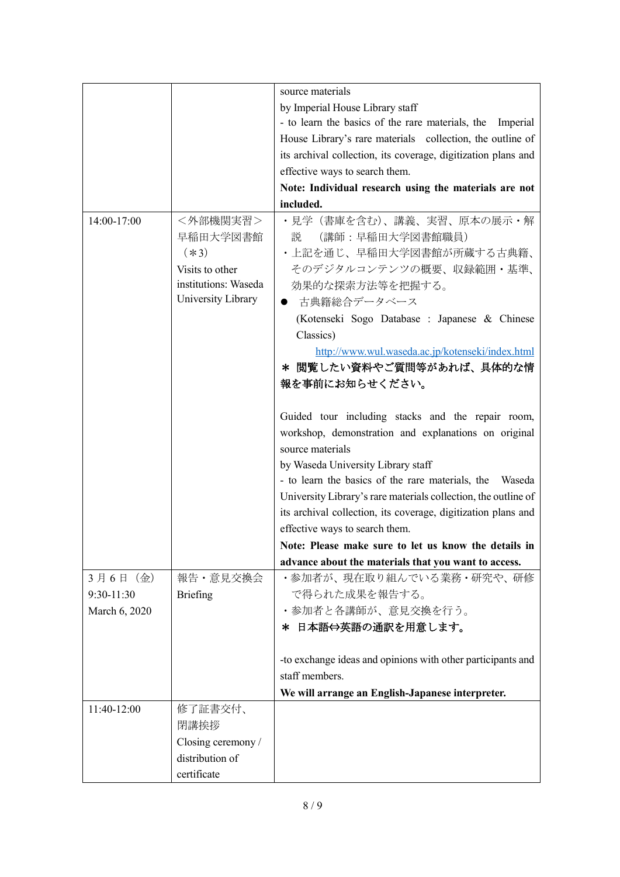|               |                      | source materials                                               |
|---------------|----------------------|----------------------------------------------------------------|
|               |                      | by Imperial House Library staff                                |
|               |                      | - to learn the basics of the rare materials, the<br>Imperial   |
|               |                      | House Library's rare materials collection, the outline of      |
|               |                      | its archival collection, its coverage, digitization plans and  |
|               |                      | effective ways to search them.                                 |
|               |                      | Note: Individual research using the materials are not          |
|               |                      | included.                                                      |
| 14:00-17:00   | <外部機関実習>             | •見学(書庫を含む)、講義、実習、原本の展示・解                                       |
|               | 早稲田大学図書館             | (講師:早稲田大学図書館職員)<br>説                                           |
|               | $(*3)$               | ・上記を通じ、早稲田大学図書館が所蔵する古典籍、                                       |
|               | Visits to other      | そのデジタルコンテンツの概要、収録範囲・基準、                                        |
|               | institutions: Waseda | 効果的な探索方法等を把握する。                                                |
|               | University Library   | 古典籍総合データベース                                                    |
|               |                      | (Kotenseki Sogo Database : Japanese & Chinese                  |
|               |                      | Classics)                                                      |
|               |                      | http://www.wul.waseda.ac.jp/kotenseki/index.html               |
|               |                      | * 閲覧したい資料やご質問等があれば、具体的な情                                       |
|               |                      | 報を事前にお知らせください。                                                 |
|               |                      |                                                                |
|               |                      | Guided tour including stacks and the repair room,              |
|               |                      | workshop, demonstration and explanations on original           |
|               |                      | source materials                                               |
|               |                      | by Waseda University Library staff                             |
|               |                      | - to learn the basics of the rare materials, the Waseda        |
|               |                      | University Library's rare materials collection, the outline of |
|               |                      | its archival collection, its coverage, digitization plans and  |
|               |                      | effective ways to search them.                                 |
|               |                      | Note: Please make sure to let us know the details in 1         |
|               |                      | advance about the materials that you want to access.           |
| 3月6日 (金)      | 報告·意見交換会             | •参加者が、現在取り組んでいる業務·研究や、研修                                       |
| 9:30-11:30    | <b>Briefing</b>      | で得られた成果を報告する。                                                  |
| March 6, 2020 |                      | ・参加者と各講師が、意見交換を行う。                                             |
|               |                      | * 日本語⇔英語の通訳を用意します。                                             |
|               |                      |                                                                |
|               |                      | -to exchange ideas and opinions with other participants and    |
|               |                      | staff members.                                                 |
|               |                      | We will arrange an English-Japanese interpreter.               |
| 11:40-12:00   | 修了証書交付、              |                                                                |
|               | 閉講挨拶                 |                                                                |
|               | Closing ceremony /   |                                                                |
|               | distribution of      |                                                                |
|               | certificate          |                                                                |